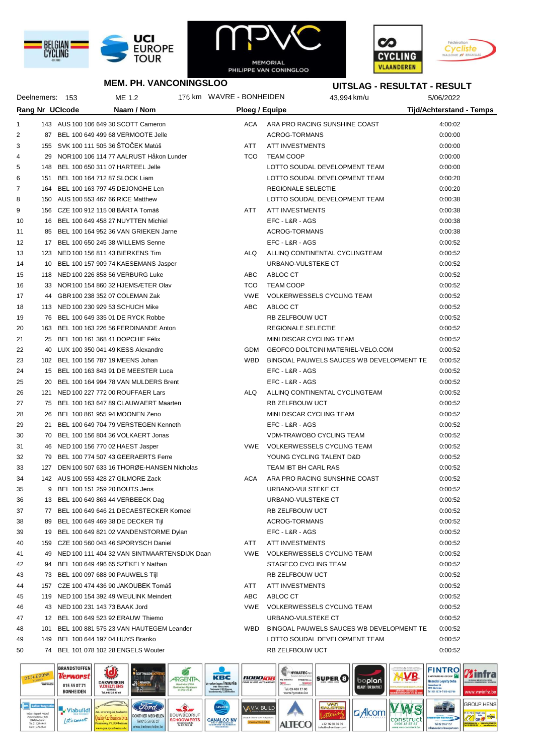





### **MEM. PH. VANCONINGSLOO**

**UITSLAG - RESULTAT - RESULT**

|                |     | Deelnemers: 153                      | ME 1.2                                          | 176 km WAVRE - BONHEIDEN |                                   | 43,994 km/u                              | 5/06/2022                       |
|----------------|-----|--------------------------------------|-------------------------------------------------|--------------------------|-----------------------------------|------------------------------------------|---------------------------------|
|                |     | <b>Rang Nr UCIcode</b>               | Naam / Nom                                      | Ploeg / Equipe           |                                   |                                          | <b>Tijd/Achterstand - Temps</b> |
| 1              |     |                                      | 143 AUS 100 106 649 30 SCOTT Cameron            |                          | ACA ARA PRO RACING SUNSHINE COAST |                                          | 4:00:02                         |
| $\overline{2}$ |     |                                      | 87 BEL 100 649 499 68 VERMOOTE Jelle            |                          | ACROG-TORMANS                     |                                          | 0:00:00                         |
| 3              |     | 155 SVK 100 111 505 36 ŠTOČEK Matúš  |                                                 | ATT                      | ATT INVESTMENTS                   |                                          | 0:00:00                         |
| 4              |     |                                      | 29 NOR 100 106 114 77 AALRUST Håkon Lunder      | <b>TCO</b>               | <b>TEAM COOP</b>                  |                                          | 0:00:00                         |
| 5              |     | 148 BEL 100 650 311 07 HARTEEL Jelle |                                                 |                          |                                   | LOTTO SOUDAL DEVELOPMENT TEAM            | 0:00:00                         |
| 6              |     | 151 BEL 100 164 712 87 SLOCK Liam    |                                                 |                          |                                   | LOTTO SOUDAL DEVELOPMENT TEAM            | 0:00:20                         |
| 7              |     |                                      | 164 BEL 100 163 797 45 DEJONGHE Len             |                          | REGIONALE SELECTIE                |                                          | 0:00:20                         |
| 8              |     | 150 AUS 100 553 467 66 RICE Matthew  |                                                 |                          |                                   | LOTTO SOUDAL DEVELOPMENT TEAM            | 0:00:38                         |
| 9              |     | 156 CZE 100 912 115 08 BÁRTA Tomáš   |                                                 | ATT                      | ATT INVESTMENTS                   |                                          | 0:00:38                         |
| 10             |     |                                      | 16 BEL 100 649 458 27 NUYTTEN Michiel           |                          | EFC - L&R - AGS                   |                                          | 0:00:38                         |
| 11             |     |                                      | 85 BEL 100 164 952 36 VAN GRIEKEN Jarne         |                          | ACROG-TORMANS                     |                                          | 0:00:38                         |
| 12             |     |                                      | 17 BEL 100 650 245 38 WILLEMS Senne             |                          | EFC - L&R - AGS                   |                                          | 0:00:52                         |
| 13             |     | 123 NED 100 156 811 43 BIERKENS Tim  |                                                 | ALQ                      | ALLINQ CONTINENTAL CYCLINGTEAM    |                                          | 0:00:52                         |
| 14             |     |                                      | 10 BEL 100 157 909 74 KAESEMANS Jasper          |                          | URBANO-VULSTEKE CT                |                                          | 0:00:52                         |
| 15             |     | 118 NED 100 226 858 56 VERBURG Luke  |                                                 | ABC                      | ABLOC CT                          |                                          | 0:00:52                         |
| 16             |     |                                      | 33 NOR 100 154 860 32 HJEMSÆTER Olav            | <b>TCO</b>               | <b>TEAM COOP</b>                  |                                          | 0:00:52                         |
| 17             |     | 44 GBR 100 238 352 07 COLEMAN Zak    |                                                 | <b>VWE</b>               | <b>VOLKERWESSELS CYCLING TEAM</b> |                                          | 0:00:52                         |
| 18             |     | 113 NED 100 230 929 53 SCHUCH Mike   |                                                 | ABC                      | ABLOC CT                          |                                          | 0:00:52                         |
| 19             |     |                                      | 76 BEL 100 649 335 01 DE RYCK Robbe             |                          | RB ZELFBOUW UCT                   |                                          | 0:00:52                         |
| 20             |     |                                      | 163 BEL 100 163 226 56 FERDINANDE Anton         |                          | REGIONALE SELECTIE                |                                          | 0:00:52                         |
| 21             |     | 25 BEL 100 161 368 41 DOPCHIE Félix  |                                                 |                          | MINI DISCAR CYCLING TEAM          |                                          | 0:00:52                         |
| 22             |     | 40 LUX 100 350 041 49 KESS Alexandre |                                                 |                          |                                   | GDM GEOFCO DOLTCINI MATERIEL-VELO.COM    | 0:00:52                         |
| 23             |     | 102 BEL 100 156 787 19 MEENS Johan   |                                                 | <b>WBD</b>               |                                   | BINGOAL PAUWELS SAUCES WB DEVELOPMENT TE | 0:00:52                         |
| 24             |     |                                      | 15 BEL 100 163 843 91 DE MEESTER Luca           |                          | EFC - L&R - AGS                   |                                          | 0:00:52                         |
| 25             |     |                                      | 20 BEL 100 164 994 78 VAN MULDERS Brent         |                          | EFC - L&R - AGS                   |                                          | 0:00:52                         |
| 26             |     |                                      | 121 NED 100 227 772 00 ROUFFAER Lars            | ALQ                      | ALLINQ CONTINENTAL CYCLINGTEAM    |                                          | 0:00:52                         |
| 27             |     |                                      | 75 BEL 100 163 647 89 CLAUWAERT Maarten         |                          | RB ZELFBOUW UCT                   |                                          | 0:00:52                         |
| 28             |     | 26 BEL 100 861 955 94 MOONEN Zeno    |                                                 |                          | MINI DISCAR CYCLING TEAM          |                                          | 0:00:52                         |
| 29             |     |                                      | 21 BEL 100 649 704 79 VERSTEGEN Kenneth         |                          | EFC - L&R - AGS                   |                                          | 0:00:52                         |
| 30             |     |                                      | 70 BEL 100 156 804 36 VOLKAERT Jonas            |                          | VDM-TRAWOBO CYCLING TEAM          |                                          | 0:00:52                         |
| 31             |     | 46 NED 100 156 770 02 HAEST Jasper   |                                                 |                          | VWE VOLKERWESSELS CYCLING TEAM    |                                          | 0:00:52                         |
| 32             |     |                                      | 79 BEL 100 774 507 43 GEERAERTS Ferre           |                          | YOUNG CYCLING TALENT D&D          |                                          | 0:00:52                         |
| 33             |     |                                      | 127 DEN 100 507 633 16 THORØE-HANSEN Nicholas   |                          | TEAM IBT BH CARL RAS              |                                          | 0:00:52                         |
| 34             |     | 142 AUS 100 553 428 27 GILMORE Zack  |                                                 | ACA                      | ARA PRO RACING SUNSHINE COAST     |                                          | 0:00:52                         |
| 35             |     | 9 BEL 100 151 259 20 BOUTS Jens      |                                                 |                          | URBANO-VULSTEKE CT                |                                          | 0:00:52                         |
| 36             |     |                                      | 13 BEL 100 649 863 44 VERBEECK Dag              |                          | URBANO-VULSTEKE CT                |                                          | 0:00:52                         |
| 37             | 77  |                                      | BEL 100 649 646 21 DECAESTECKER Korneel         |                          | RB ZELFBOUW UCT                   |                                          | 0:00:52                         |
| 38             |     |                                      | 89 BEL 100 649 469 38 DE DECKER Tijl            |                          | ACROG-TORMANS                     |                                          | 0:00:52                         |
| 39             |     |                                      | 19 BEL 100 649 821 02 VANDENSTORME Dylan        |                          | EFC - L&R - AGS                   |                                          | 0:00:52                         |
| 40             |     |                                      | 159 CZE 100 560 043 46 SPORYSCH Daniel          | ATT                      | <b>ATT INVESTMENTS</b>            |                                          | 0:00:52                         |
| 41             |     |                                      | 49 NED 100 111 404 32 VAN SINTMAARTENSDIJK Daan | <b>VWE</b>               | <b>VOLKERWESSELS CYCLING TEAM</b> |                                          | 0:00:52                         |
| 42             | 94  |                                      | BEL 100 649 496 65 SZÉKELY Nathan               |                          | <b>STAGECO CYCLING TEAM</b>       |                                          | 0:00:52                         |
| 43             | 73  | BEL 100 097 688 90 PAUWELS Tijl      |                                                 |                          | RB ZELFBOUW UCT                   |                                          | 0:00:52                         |
| 44             | 157 |                                      | CZE 100 474 436 90 JAKOUBEK Tomáš               | ATT                      | <b>ATT INVESTMENTS</b>            |                                          | 0:00:52                         |
| 45             |     |                                      | 119 NED 100 154 392 49 WEULINK Meindert         | ABC                      | ABLOC CT                          |                                          | 0:00:52                         |
| 46             |     | 43 NED 100 231 143 73 BAAK Jord      |                                                 | <b>VWE</b>               | VOLKERWESSELS CYCLING TEAM        |                                          | 0:00:52                         |
| 47             |     | 12 BEL 100 649 523 92 ERAUW Thiemo   |                                                 |                          | URBANO-VULSTEKE CT                |                                          | 0:00:52                         |
| 48             | 101 |                                      | BEL 100 881 575 23 VAN HAUTEGEM Leander         | WBD                      |                                   | BINGOAL PAUWELS SAUCES WB DEVELOPMENT TE | 0:00:52                         |
| 49             | 149 | BEL 100 644 197 04 HUYS Branko       |                                                 |                          |                                   | LOTTO SOUDAL DEVELOPMENT TEAM            | 0:00:52                         |
| 50             |     |                                      | 74 BEL 101 078 102 28 ENGELS Wouter             |                          | RB ZELFBOUW UCT                   |                                          | 0:00:52                         |
|                |     |                                      |                                                 |                          |                                   |                                          |                                 |

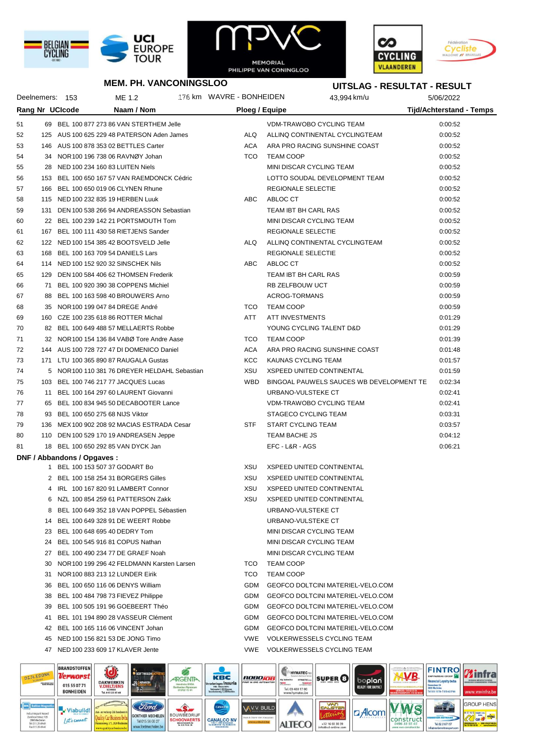





# **MEM. PH. VANCONINGSLOO**

#### **UITSLAG - RESULTAT - RESULT**

| Deelnemers: 153<br><b>Rang Nr UCIcode</b> |    |                                   | ME 1.2                                        |  | 176 km WAVRE - BONHEIDEN |                  | 43,994 km/u                              | 5/06/2022                       |  |
|-------------------------------------------|----|-----------------------------------|-----------------------------------------------|--|--------------------------|------------------|------------------------------------------|---------------------------------|--|
|                                           |    |                                   | Naam / Nom                                    |  | Ploeg / Equipe           |                  |                                          | <b>Tijd/Achterstand - Temps</b> |  |
| 51                                        |    |                                   | 69 BEL 100 877 273 86 VAN STERTHEM Jelle      |  |                          |                  | VDM-TRAWOBO CYCLING TEAM                 | 0:00:52                         |  |
| 52                                        |    |                                   | 125 AUS 100 625 229 48 PATERSON Aden James    |  | ALQ                      |                  | ALLINQ CONTINENTAL CYCLINGTEAM           | 0:00:52                         |  |
| 53                                        |    |                                   | 146 AUS 100 878 353 02 BETTLES Carter         |  | ACA                      |                  | ARA PRO RACING SUNSHINE COAST            | 0:00:52                         |  |
| 54                                        |    |                                   | 34 NOR 100 196 738 06 RAVNØY Johan            |  | TCO                      | <b>TEAM COOP</b> |                                          | 0:00:52                         |  |
| 55                                        |    |                                   | 28 NED 100 234 160 83 LUITEN Niels            |  |                          |                  | MINI DISCAR CYCLING TEAM                 | 0:00:52                         |  |
| 56                                        |    |                                   | 153 BEL 100 650 167 57 VAN RAEMDONCK Cédric   |  |                          |                  | LOTTO SOUDAL DEVELOPMENT TEAM            | 0:00:52                         |  |
| 57                                        |    |                                   | 166 BEL 100 650 019 06 CLYNEN Rhune           |  |                          |                  | REGIONALE SELECTIE                       | 0:00:52                         |  |
| 58                                        |    |                                   | 115 NED 100 232 835 19 HERBEN Luuk            |  | ABC                      | ABLOC CT         |                                          | 0:00:52                         |  |
| 59                                        |    |                                   | 131 DEN 100 538 266 94 ANDREASSON Sebastian   |  |                          |                  | TEAM IBT BH CARL RAS                     | 0:00:52                         |  |
| 60                                        |    |                                   | 22 BEL 100 239 142 21 PORTSMOUTH Tom          |  |                          |                  | MINI DISCAR CYCLING TEAM                 | 0:00:52                         |  |
| 61                                        |    |                                   | 167 BEL 100 111 430 58 RIETJENS Sander        |  |                          |                  | REGIONALE SELECTIE                       | 0:00:52                         |  |
| 62                                        |    |                                   | 122 NED 100 154 385 42 BOOTSVELD Jelle        |  | ALQ                      |                  | ALLINQ CONTINENTAL CYCLINGTEAM           | 0:00:52                         |  |
| 63                                        |    |                                   | 168 BEL 100 163 709 54 DANIELS Lars           |  |                          |                  | REGIONALE SELECTIE                       | 0:00:52                         |  |
| 64                                        |    |                                   | 114 NED 100 152 920 32 SINSCHEK Nils          |  | ABC                      | ABLOC CT         |                                          | 0:00:52                         |  |
| 65                                        |    |                                   | 129 DEN 100 584 406 62 THOMSEN Frederik       |  |                          |                  | TEAM IBT BH CARL RAS                     | 0:00:59                         |  |
| 66                                        |    |                                   | 71 BEL 100 920 390 38 COPPENS Michiel         |  |                          |                  | RB ZELFBOUW UCT                          | 0:00:59                         |  |
| 67                                        |    |                                   | 88 BEL 100 163 598 40 BROUWERS Arno           |  |                          |                  | ACROG-TORMANS                            | 0:00:59                         |  |
| 68                                        |    |                                   | 35 NOR 100 199 047 84 DREGE André             |  | <b>TCO</b>               | <b>TEAM COOP</b> |                                          | 0:00:59                         |  |
| 69                                        |    |                                   | 160 CZE 100 235 618 86 ROTTER Michal          |  | ATT                      |                  | <b>ATT INVESTMENTS</b>                   | 0:01:29                         |  |
| 70                                        |    |                                   | 82 BEL 100 649 488 57 MELLAERTS Robbe         |  |                          |                  | YOUNG CYCLING TALENT D&D                 | 0:01:29                         |  |
| 71                                        |    |                                   | 32 NOR 100 154 136 84 VABØ Tore Andre Aase    |  | <b>TCO</b>               | <b>TEAM COOP</b> |                                          | 0:01:39                         |  |
| 72                                        |    |                                   | 144 AUS 100 728 727 47 DI DOMENICO Daniel     |  | ACA                      |                  | ARA PRO RACING SUNSHINE COAST            | 0:01:48                         |  |
| 73                                        |    |                                   | 171 LTU 100 365 890 87 RAUGALA Gustas         |  | KCC                      |                  | KAUNAS CYCLING TEAM                      | 0:01:57                         |  |
| 74                                        |    |                                   | 5 NOR 100 110 381 76 DREYER HELDAHL Sebastian |  | XSU                      |                  | <b>XSPEED UNITED CONTINENTAL</b>         | 0:01:59                         |  |
| 75                                        |    |                                   | 103 BEL 100 746 217 77 JACQUES Lucas          |  | <b>WBD</b>               |                  | BINGOAL PAUWELS SAUCES WB DEVELOPMENT TE | 0:02:34                         |  |
| 76                                        |    |                                   | 11 BEL 100 164 297 60 LAURENT Giovanni        |  |                          |                  | URBANO-VULSTEKE CT                       | 0:02:41                         |  |
| 77                                        |    |                                   | 65 BEL 100 834 945 50 DECABOOTER Lance        |  |                          |                  | VDM-TRAWOBO CYCLING TEAM                 | 0:02:41                         |  |
| 78                                        |    | 93 BEL 100 650 275 68 NIJS Viktor |                                               |  |                          |                  | STAGECO CYCLING TEAM                     | 0:03:31                         |  |
| 79                                        |    |                                   | 136 MEX 100 902 208 92 MACIAS ESTRADA Cesar   |  | <b>STF</b>               |                  | START CYCLING TEAM                       | 0:03:57                         |  |
| 80                                        |    |                                   | 110 DEN 100 529 170 19 ANDREASEN Jeppe        |  |                          | TEAM BACHE JS    |                                          | 0:04:12                         |  |
| 81                                        |    |                                   | 18 BEL 100 650 292 85 VAN DYCK Jan            |  |                          | EFC - L&R - AGS  |                                          | 0:06:21                         |  |
|                                           |    | DNF / Abbandons / Opgaves:        |                                               |  |                          |                  |                                          |                                 |  |
|                                           |    |                                   | 1 BEL 100 153 507 37 GODART Bo                |  | XSU                      |                  | <b>XSPEED UNITED CONTINENTAL</b>         |                                 |  |
|                                           |    |                                   | 2 BEL 100 158 254 31 BORGERS Gilles           |  | XSU                      |                  | XSPEED UNITED CONTINENTAL                |                                 |  |
|                                           |    |                                   | 4 IRL 100 167 820 91 LAMBERT Connor           |  | XSU                      |                  | <b>XSPEED UNITED CONTINENTAL</b>         |                                 |  |
|                                           |    |                                   | 6 NZL 100 854 259 61 PATTERSON Zakk           |  | XSU                      |                  | <b>XSPEED UNITED CONTINENTAL</b>         |                                 |  |
|                                           |    |                                   | 8 BEL 100 649 352 18 VAN POPPEL Sébastien     |  |                          |                  | URBANO-VULSTEKE CT                       |                                 |  |
|                                           |    |                                   | 14 BEL 100 649 328 91 DE WEERT Robbe          |  |                          |                  | URBANO-VULSTEKE CT                       |                                 |  |
|                                           |    |                                   | 23 BEL 100 648 695 40 DEDRY Tom               |  |                          |                  | MINI DISCAR CYCLING TEAM                 |                                 |  |
|                                           |    |                                   | 24 BEL 100 545 916 81 COPUS Nathan            |  |                          |                  | MINI DISCAR CYCLING TEAM                 |                                 |  |
|                                           |    |                                   | 27 BEL 100 490 234 77 DE GRAEF Noah           |  |                          |                  | MINI DISCAR CYCLING TEAM                 |                                 |  |
|                                           |    |                                   | 30 NOR 100 199 296 42 FELDMANN Karsten Larsen |  | TCO                      | <b>TEAM COOP</b> |                                          |                                 |  |
|                                           | 31 |                                   | NOR 100 883 213 12 LUNDER Eirik               |  | TCO                      | <b>TEAM COOP</b> |                                          |                                 |  |
|                                           |    |                                   | 36 BEL 100 650 116 06 DENYS William           |  | GDM                      |                  | GEOFCO DOLTCINI MATERIEL-VELO.COM        |                                 |  |
|                                           |    |                                   | 38 BEL 100 484 798 73 FIEVEZ Philippe         |  | GDM                      |                  | GEOFCO DOLTCINI MATERIEL-VELO.COM        |                                 |  |
|                                           |    |                                   | 39 BEL 100 505 191 96 GOEBEERT Théo           |  | GDM                      |                  | <b>GEOFCO DOLTCINI MATERIEL-VELO.COM</b> |                                 |  |
|                                           |    |                                   | 41 BEL 101 194 890 28 VASSEUR Clément         |  | GDM                      |                  | GEOFCO DOLTCINI MATERIEL-VELO.COM        |                                 |  |
|                                           |    |                                   | 42 BEL 100 165 116 06 VINCENT Johan           |  | GDM                      |                  | GEOFCO DOLTCINI MATERIEL-VELO.COM        |                                 |  |
|                                           |    |                                   | 45 NED 100 156 821 53 DE JONG Timo            |  | VWE                      |                  | VOLKERWESSELS CYCLING TEAM               |                                 |  |
|                                           |    |                                   | 47 NED 100 233 609 17 KLAVER Jente            |  |                          |                  | VWE VOLKERWESSELS CYCLING TEAM           |                                 |  |
|                                           |    |                                   |                                               |  |                          |                  |                                          |                                 |  |

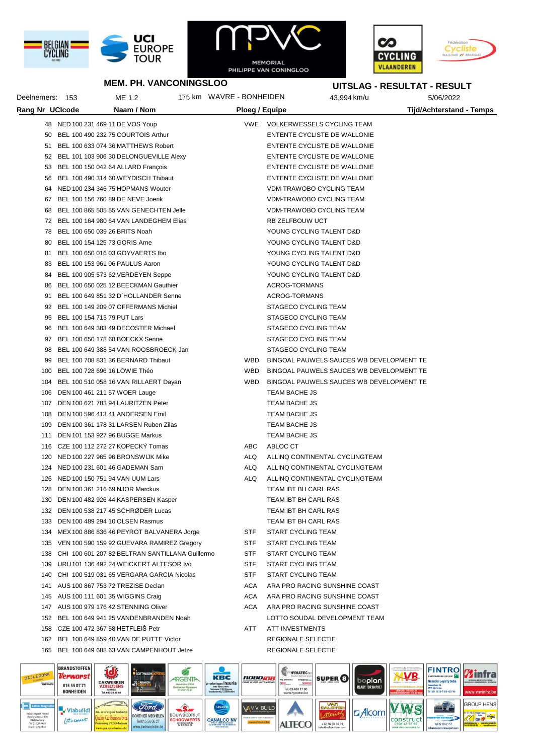





**UITSLAG - RESULTAT - RESULT**

### **MEM. PH. VANCONINGSLOO**

| Deelnemers: 153 |                                      | ME 1.2                                          | 176 km WAVRE - BONHEIDEN |                |                      | 43,994 km/u                              | 5/06/2022                       |
|-----------------|--------------------------------------|-------------------------------------------------|--------------------------|----------------|----------------------|------------------------------------------|---------------------------------|
| Rang Nr UCIcode |                                      | Naam / Nom                                      |                          | Ploeg / Equipe |                      |                                          | <b>Tijd/Achterstand - Temps</b> |
|                 | 48 NED 100 231 469 11 DE VOS Youp    |                                                 |                          |                |                      | VWE VOLKERWESSELS CYCLING TEAM           |                                 |
| 50              |                                      | BEL 100 490 232 75 COURTOIS Arthur              |                          |                |                      | ENTENTE CYCLISTE DE WALLONIE             |                                 |
|                 |                                      | 51 BEL 100 633 074 36 MATTHEWS Robert           |                          |                |                      | ENTENTE CYCLISTE DE WALLONIE             |                                 |
|                 |                                      | 52 BEL 101 103 906 30 DELONGUEVILLE Alexy       |                          |                |                      | ENTENTE CYCLISTE DE WALLONIE             |                                 |
| 53              |                                      | BEL 100 150 042 64 ALLARD François              |                          |                |                      | ENTENTE CYCLISTE DE WALLONIE             |                                 |
| 56              |                                      | BEL 100 490 314 60 WEYDISCH Thibaut             |                          |                |                      | ENTENTE CYCLISTE DE WALLONIE             |                                 |
| 64              |                                      | NED 100 234 346 75 HOPMANS Wouter               |                          |                |                      | VDM-TRAWOBO CYCLING TEAM                 |                                 |
| 67              |                                      | BEL 100 156 760 89 DE NEVE Joerik               |                          |                |                      | <b>VDM-TRAWOBO CYCLING TEAM</b>          |                                 |
| 68              |                                      | BEL 100 865 505 55 VAN GENECHTEN Jelle          |                          |                |                      | VDM-TRAWOBO CYCLING TEAM                 |                                 |
|                 |                                      | 72 BEL 100 164 980 64 VAN LANDEGHEM Elias       |                          |                | RB ZELFBOUW UCT      |                                          |                                 |
| 78              | BEL 100 650 039 26 BRITS Noah        |                                                 |                          |                |                      | YOUNG CYCLING TALENT D&D                 |                                 |
| 80              | BEL 100 154 125 73 GORIS Arne        |                                                 |                          |                |                      | YOUNG CYCLING TALENT D&D                 |                                 |
| 81              |                                      | BEL 100 650 016 03 GOYVAERTS Ibo                |                          |                |                      | YOUNG CYCLING TALENT D&D                 |                                 |
| 83              | BEL 100 153 961 06 PAULUS Aaron      |                                                 |                          |                |                      | YOUNG CYCLING TALENT D&D                 |                                 |
| 84              |                                      | BEL 100 905 573 62 VERDEYEN Seppe               |                          |                |                      | YOUNG CYCLING TALENT D&D                 |                                 |
| 86              |                                      | BEL 100 650 025 12 BEECKMAN Gauthier            |                          |                | ACROG-TORMANS        |                                          |                                 |
| 91              |                                      | BEL 100 649 851 32 D'HOLLANDER Senne            |                          |                | ACROG-TORMANS        |                                          |                                 |
| 92              |                                      | BEL 100 149 209 07 OFFERMANS Michiel            |                          |                |                      | STAGECO CYCLING TEAM                     |                                 |
| 95              | BEL 100 154 713 79 PUT Lars          |                                                 |                          |                |                      | STAGECO CYCLING TEAM                     |                                 |
| 96              |                                      | BEL 100 649 383 49 DECOSTER Michael             |                          |                |                      | STAGECO CYCLING TEAM                     |                                 |
| 97              |                                      | BEL 100 650 178 68 BOECKX Senne                 |                          |                |                      | STAGECO CYCLING TEAM                     |                                 |
| 98              |                                      | BEL 100 649 388 54 VAN ROOSBROECK Jan           |                          |                |                      | STAGECO CYCLING TEAM                     |                                 |
| 99              |                                      | BEL 100 708 831 36 BERNARD Thibaut              |                          | WBD            |                      | BINGOAL PAUWELS SAUCES WB DEVELOPMENT TE |                                 |
| 100             | BEL 100 728 696 16 LOWIE Théo        |                                                 |                          | WBD            |                      | BINGOAL PAUWELS SAUCES WB DEVELOPMENT TE |                                 |
|                 |                                      | 104 BEL 100 510 058 16 VAN RILLAERT Dayan       |                          | WBD            |                      | BINGOAL PAUWELS SAUCES WB DEVELOPMENT TE |                                 |
| 106             | DEN 100 461 211 57 WOER Lauge        |                                                 |                          |                | TEAM BACHE JS        |                                          |                                 |
|                 |                                      | 107 DEN 100 621 783 94 LAURITZEN Peter          |                          |                | TEAM BACHE JS        |                                          |                                 |
| 108             |                                      | DEN 100 596 413 41 ANDERSEN Emil                |                          |                | TEAM BACHE JS        |                                          |                                 |
| 109             |                                      | DEN 100 361 178 31 LARSEN Ruben Zilas           |                          |                | TEAM BACHE JS        |                                          |                                 |
| 111             |                                      | DEN 101 153 927 96 BUGGE Markus                 |                          |                | TEAM BACHE JS        |                                          |                                 |
| 116             |                                      | CZE 100 112 272 27 KOPECKÝ Tomas                |                          | ABC            | ABLOC CT             |                                          |                                 |
| 120             |                                      | NED 100 227 965 96 BRONSWIJK Mike               |                          | <b>ALQ</b>     |                      | ALLINQ CONTINENTAL CYCLINGTEAM           |                                 |
| 124             |                                      | NED 100 231 601 46 GADEMAN Sam                  |                          | <b>ALQ</b>     |                      | ALLINQ CONTINENTAL CYCLINGTEAM           |                                 |
| 126             | NED 100 150 751 94 VAN UUM Lars      |                                                 |                          | <b>ALQ</b>     |                      | ALLINQ CONTINENTAL CYCLINGTEAM           |                                 |
|                 | 128 DEN 100 361 216 69 NJOR Marckus  |                                                 |                          |                | TEAM IBT BH CARL RAS |                                          |                                 |
| 130             |                                      | DEN 100 482 926 44 KASPERSEN Kasper             |                          |                | TEAM IBT BH CARL RAS |                                          |                                 |
| 132             |                                      | DEN 100 538 217 45 SCHRØDER Lucas               |                          |                | TEAM IBT BH CARL RAS |                                          |                                 |
| 133             |                                      | DEN 100 489 294 10 OLSEN Rasmus                 |                          |                | TEAM IBT BH CARL RAS |                                          |                                 |
| 134             |                                      | MEX 100 886 836 46 PEYROT BALVANERA Jorge       |                          | <b>STF</b>     | START CYCLING TEAM   |                                          |                                 |
| 135             |                                      | VEN 100 590 159 92 GUEVARA RAMIREZ Gregory      |                          | <b>STF</b>     | START CYCLING TEAM   |                                          |                                 |
| 138             |                                      | CHI 100 601 207 82 BELTRAN SANTILLANA Guillermo |                          | <b>STF</b>     | START CYCLING TEAM   |                                          |                                 |
| 139             |                                      | URU101 136 492 24 WEICKERT ALTESOR Ivo          |                          | <b>STF</b>     | START CYCLING TEAM   |                                          |                                 |
| 140             |                                      | CHI 100 519 031 65 VERGARA GARCIA Nicolas       |                          | <b>STF</b>     | START CYCLING TEAM   |                                          |                                 |
| 141             |                                      | AUS 100 867 753 72 TREZISE Declan               |                          | <b>ACA</b>     |                      | ARA PRO RACING SUNSHINE COAST            |                                 |
| 145             | AUS 100 111 601 35 WIGGINS Craig     |                                                 |                          | <b>ACA</b>     |                      | ARA PRO RACING SUNSHINE COAST            |                                 |
| 147             |                                      | AUS 100 979 176 42 STENNING Oliver              |                          | ACA            |                      | ARA PRO RACING SUNSHINE COAST            |                                 |
| 152             |                                      | BEL 100 649 941 25 VANDENBRANDEN Noah           |                          |                |                      | LOTTO SOUDAL DEVELOPMENT TEAM            |                                 |
|                 | 158 CZE 100 472 367 58 HETFLEIS Petr |                                                 |                          | ATT            | ATT INVESTMENTS      |                                          |                                 |
|                 |                                      | 162 BEL 100 649 859 40 VAN DE PUTTE Victor      |                          |                | REGIONALE SELECTIE   |                                          |                                 |
|                 |                                      | 165 BEL 100 649 688 63 VAN CAMPENHOUT Jetze     |                          |                | REGIONALE SELECTIE   |                                          |                                 |